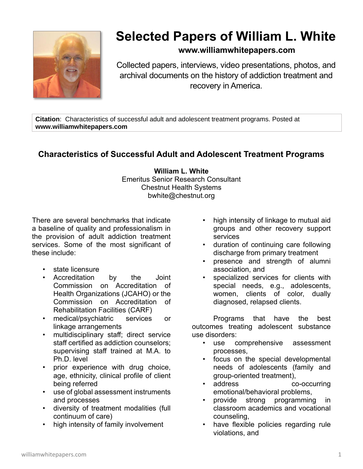

## **Selected Papers of William L. White**

## **www.williamwhitepapers.com**

Collected papers, interviews, video presentations, photos, and archival documents on the history of addiction treatment and recovery in America.

**Citation**: Characteristics of successful adult and adolescent treatment programs. Posted at **www.williamwhitepapers.com**

## **Characteristics of Successful Adult and Adolescent Treatment Programs**

**William L. White** Emeritus Senior Research Consultant Chestnut Health Systems bwhite@chestnut.org

There are several benchmarks that indicate a baseline of quality and professionalism in the provision of adult addiction treatment services. Some of the most significant of these include:

- state licensure
- Accreditation by the Joint Commission on Accreditation of Health Organizations (JCAHO) or the Commission on Accreditation of Rehabilitation Facilities (CARF)
- medical/psychiatric services or linkage arrangements
- multidisciplinary staff; direct service staff certified as addiction counselors; supervising staff trained at M.A. to Ph.D. level
- prior experience with drug choice, age, ethnicity, clinical profile of client being referred
- use of global assessment instruments and processes
- diversity of treatment modalities (full continuum of care)
- high intensity of family involvement
- high intensity of linkage to mutual aid groups and other recovery support services
- duration of continuing care following discharge from primary treatment
- presence and strength of alumni association, and
- specialized services for clients with special needs, e.g., adolescents, women, clients of color, dually diagnosed, relapsed clients.

Programs that have the best outcomes treating adolescent substance use disorders:

- use comprehensive assessment processes,
- focus on the special developmental needs of adolescents (family and group-oriented treatment),
- address co-occurring emotional/behavioral problems,
- provide strong programming in classroom academics and vocational counseling,
- have flexible policies regarding rule violations, and